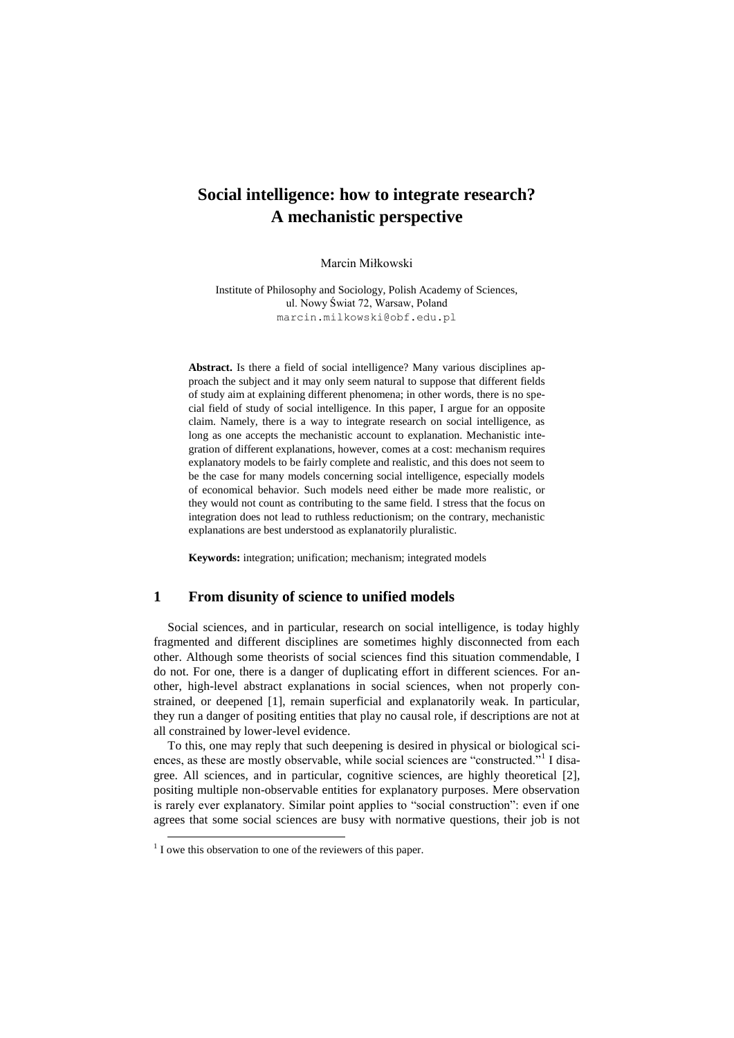# **Social intelligence: how to integrate research? A mechanistic perspective**

Marcin Miłkowski

Institute of Philosophy and Sociology, Polish Academy of Sciences, ul. Nowy Świat 72, Warsaw, Poland marcin.milkowski@obf.edu.pl

**Abstract.** Is there a field of social intelligence? Many various disciplines approach the subject and it may only seem natural to suppose that different fields of study aim at explaining different phenomena; in other words, there is no special field of study of social intelligence. In this paper, I argue for an opposite claim. Namely, there is a way to integrate research on social intelligence, as long as one accepts the mechanistic account to explanation. Mechanistic integration of different explanations, however, comes at a cost: mechanism requires explanatory models to be fairly complete and realistic, and this does not seem to be the case for many models concerning social intelligence, especially models of economical behavior. Such models need either be made more realistic, or they would not count as contributing to the same field. I stress that the focus on integration does not lead to ruthless reductionism; on the contrary, mechanistic explanations are best understood as explanatorily pluralistic.

**Keywords:** integration; unification; mechanism; integrated models

#### **1 From disunity of science to unified models**

Social sciences, and in particular, research on social intelligence, is today highly fragmented and different disciplines are sometimes highly disconnected from each other. Although some theorists of social sciences find this situation commendable, I do not. For one, there is a danger of duplicating effort in different sciences. For another, high-level abstract explanations in social sciences, when not properly constrained, or deepened [1], remain superficial and explanatorily weak. In particular, they run a danger of positing entities that play no causal role, if descriptions are not at all constrained by lower-level evidence.

To this, one may reply that such deepening is desired in physical or biological sciences, as these are mostly observable, while social sciences are "constructed."<sup>1</sup> I disagree. All sciences, and in particular, cognitive sciences, are highly theoretical [2], positing multiple non-observable entities for explanatory purposes. Mere observation is rarely ever explanatory. Similar point applies to "social construction": even if one agrees that some social sciences are busy with normative questions, their job is not

-

 $<sup>1</sup>$  I owe this observation to one of the reviewers of this paper.</sup>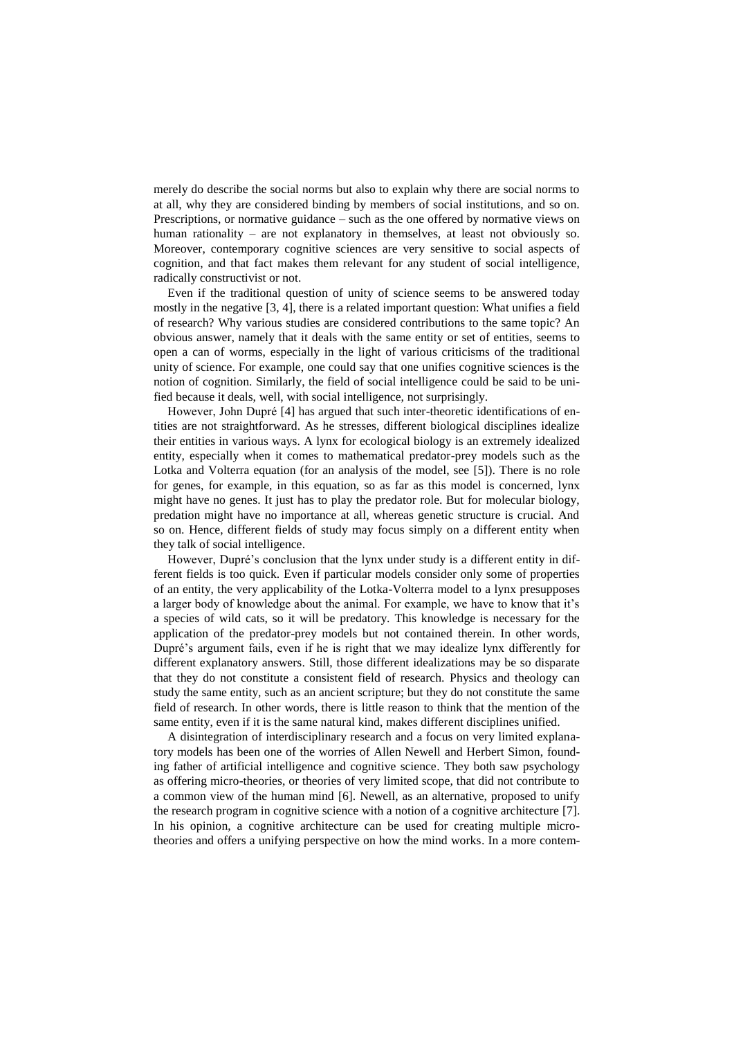merely do describe the social norms but also to explain why there are social norms to at all, why they are considered binding by members of social institutions, and so on. Prescriptions, or normative guidance – such as the one offered by normative views on human rationality – are not explanatory in themselves, at least not obviously so. Moreover, contemporary cognitive sciences are very sensitive to social aspects of cognition, and that fact makes them relevant for any student of social intelligence, radically constructivist or not.

Even if the traditional question of unity of science seems to be answered today mostly in the negative [3, 4], there is a related important question: What unifies a field of research? Why various studies are considered contributions to the same topic? An obvious answer, namely that it deals with the same entity or set of entities, seems to open a can of worms, especially in the light of various criticisms of the traditional unity of science. For example, one could say that one unifies cognitive sciences is the notion of cognition. Similarly, the field of social intelligence could be said to be unified because it deals, well, with social intelligence, not surprisingly.

However, John Dupré [4] has argued that such inter-theoretic identifications of entities are not straightforward. As he stresses, different biological disciplines idealize their entities in various ways. A lynx for ecological biology is an extremely idealized entity, especially when it comes to mathematical predator-prey models such as the Lotka and Volterra equation (for an analysis of the model, see [5]). There is no role for genes, for example, in this equation, so as far as this model is concerned, lynx might have no genes. It just has to play the predator role. But for molecular biology, predation might have no importance at all, whereas genetic structure is crucial. And so on. Hence, different fields of study may focus simply on a different entity when they talk of social intelligence.

However, Dupré's conclusion that the lynx under study is a different entity in different fields is too quick. Even if particular models consider only some of properties of an entity, the very applicability of the Lotka-Volterra model to a lynx presupposes a larger body of knowledge about the animal. For example, we have to know that it's a species of wild cats, so it will be predatory. This knowledge is necessary for the application of the predator-prey models but not contained therein. In other words, Dupré's argument fails, even if he is right that we may idealize lynx differently for different explanatory answers. Still, those different idealizations may be so disparate that they do not constitute a consistent field of research. Physics and theology can study the same entity, such as an ancient scripture; but they do not constitute the same field of research. In other words, there is little reason to think that the mention of the same entity, even if it is the same natural kind, makes different disciplines unified.

A disintegration of interdisciplinary research and a focus on very limited explanatory models has been one of the worries of Allen Newell and Herbert Simon, founding father of artificial intelligence and cognitive science. They both saw psychology as offering micro-theories, or theories of very limited scope, that did not contribute to a common view of the human mind [6]. Newell, as an alternative, proposed to unify the research program in cognitive science with a notion of a cognitive architecture [7]. In his opinion, a cognitive architecture can be used for creating multiple microtheories and offers a unifying perspective on how the mind works. In a more contem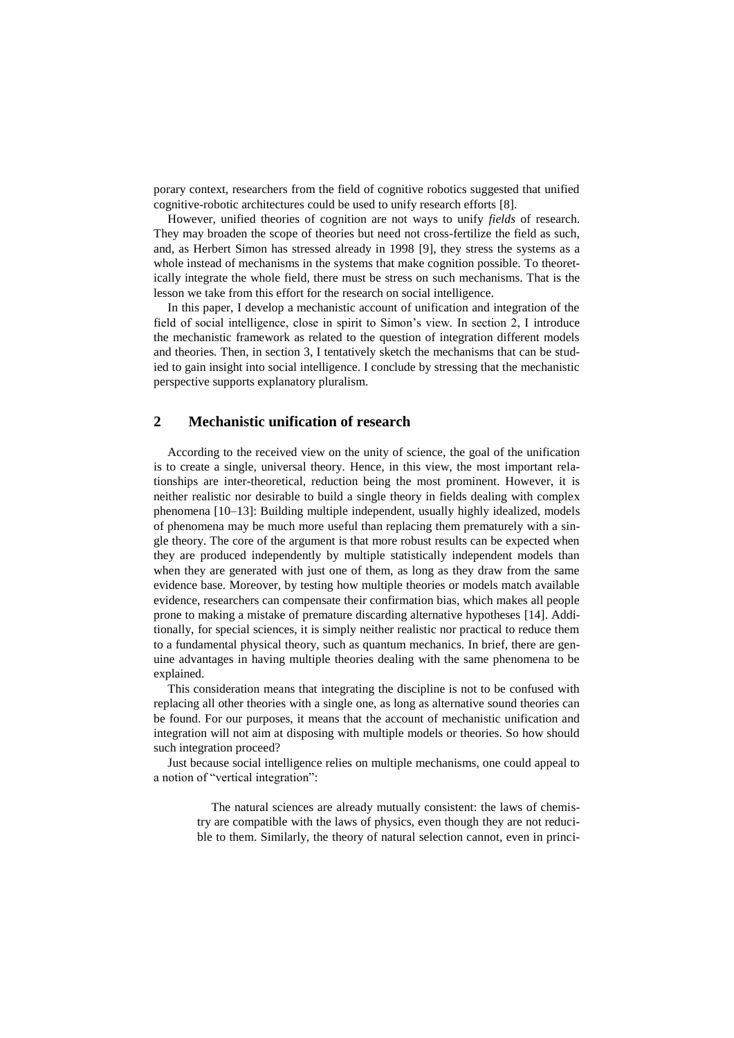porary context, researchers from the field of cognitive robotics suggested that unified cognitive-robotic architectures could be used to unify research efforts [8].

However, unified theories of cognition are not ways to unify *fields* of research. They may broaden the scope of theories but need not cross-fertilize the field as such, and, as Herbert Simon has stressed already in 1998 [9], they stress the systems as a whole instead of mechanisms in the systems that make cognition possible. To theoretically integrate the whole field, there must be stress on such mechanisms. That is the lesson we take from this effort for the research on social intelligence.

In this paper, I develop a mechanistic account of unification and integration of the field of social intelligence, close in spirit to Simon's view. In section 2, I introduce the mechanistic framework as related to the question of integration different models and theories. Then, in section 3, I tentatively sketch the mechanisms that can be studied to gain insight into social intelligence. I conclude by stressing that the mechanistic perspective supports explanatory pluralism.

### **2 Mechanistic unification of research**

According to the received view on the unity of science, the goal of the unification is to create a single, universal theory. Hence, in this view, the most important relationships are inter-theoretical, reduction being the most prominent. However, it is neither realistic nor desirable to build a single theory in fields dealing with complex phenomena [10–13]: Building multiple independent, usually highly idealized, models of phenomena may be much more useful than replacing them prematurely with a single theory. The core of the argument is that more robust results can be expected when they are produced independently by multiple statistically independent models than when they are generated with just one of them, as long as they draw from the same evidence base. Moreover, by testing how multiple theories or models match available evidence, researchers can compensate their confirmation bias, which makes all people prone to making a mistake of premature discarding alternative hypotheses [14]. Additionally, for special sciences, it is simply neither realistic nor practical to reduce them to a fundamental physical theory, such as quantum mechanics. In brief, there are genuine advantages in having multiple theories dealing with the same phenomena to be explained.

This consideration means that integrating the discipline is not to be confused with replacing all other theories with a single one, as long as alternative sound theories can be found. For our purposes, it means that the account of mechanistic unification and integration will not aim at disposing with multiple models or theories. So how should such integration proceed?

Just because social intelligence relies on multiple mechanisms, one could appeal to a notion of "vertical integration":

> The natural sciences are already mutually consistent: the laws of chemistry are compatible with the laws of physics, even though they are not reducible to them. Similarly, the theory of natural selection cannot, even in princi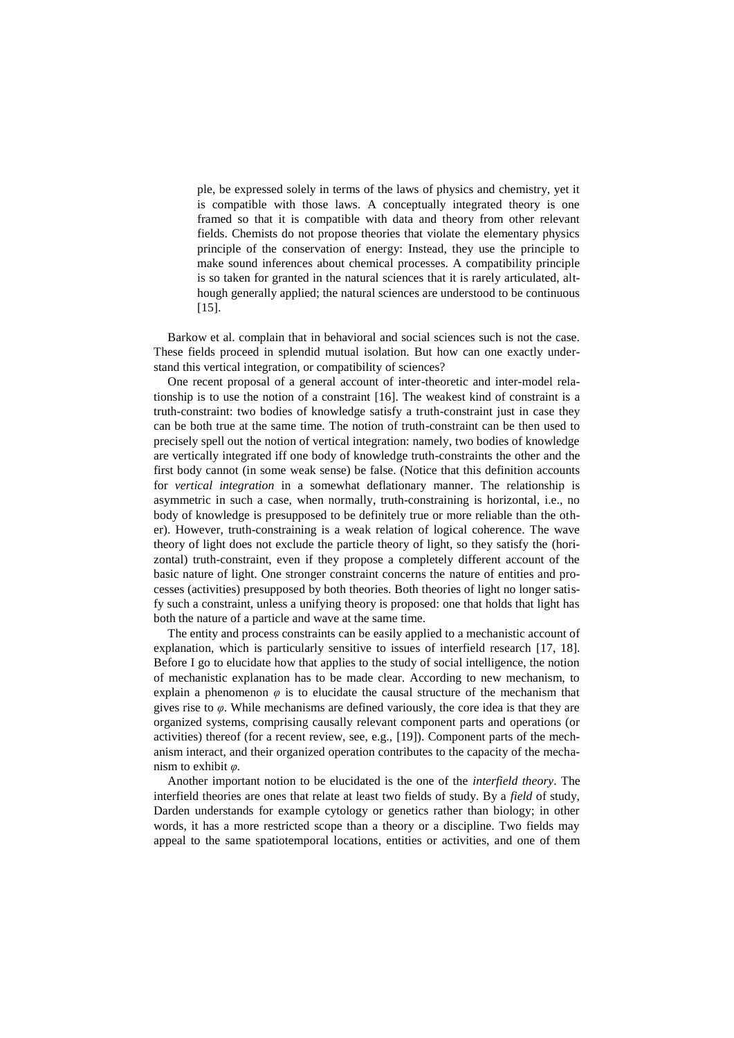ple, be expressed solely in terms of the laws of physics and chemistry, yet it is compatible with those laws. A conceptually integrated theory is one framed so that it is compatible with data and theory from other relevant fields. Chemists do not propose theories that violate the elementary physics principle of the conservation of energy: Instead, they use the principle to make sound inferences about chemical processes. A compatibility principle is so taken for granted in the natural sciences that it is rarely articulated, although generally applied; the natural sciences are understood to be continuous [15].

Barkow et al. complain that in behavioral and social sciences such is not the case. These fields proceed in splendid mutual isolation. But how can one exactly understand this vertical integration, or compatibility of sciences?

One recent proposal of a general account of inter-theoretic and inter-model relationship is to use the notion of a constraint [16]. The weakest kind of constraint is a truth-constraint: two bodies of knowledge satisfy a truth-constraint just in case they can be both true at the same time. The notion of truth-constraint can be then used to precisely spell out the notion of vertical integration: namely, two bodies of knowledge are vertically integrated iff one body of knowledge truth-constraints the other and the first body cannot (in some weak sense) be false. (Notice that this definition accounts for *vertical integration* in a somewhat deflationary manner. The relationship is asymmetric in such a case, when normally, truth-constraining is horizontal, i.e., no body of knowledge is presupposed to be definitely true or more reliable than the other). However, truth-constraining is a weak relation of logical coherence. The wave theory of light does not exclude the particle theory of light, so they satisfy the (horizontal) truth-constraint, even if they propose a completely different account of the basic nature of light. One stronger constraint concerns the nature of entities and processes (activities) presupposed by both theories. Both theories of light no longer satisfy such a constraint, unless a unifying theory is proposed: one that holds that light has both the nature of a particle and wave at the same time.

The entity and process constraints can be easily applied to a mechanistic account of explanation, which is particularly sensitive to issues of interfield research [17, 18]. Before I go to elucidate how that applies to the study of social intelligence, the notion of mechanistic explanation has to be made clear. According to new mechanism, to explain a phenomenon  $\varphi$  is to elucidate the causal structure of the mechanism that gives rise to *φ*. While mechanisms are defined variously, the core idea is that they are organized systems, comprising causally relevant component parts and operations (or activities) thereof (for a recent review, see, e.g., [19]). Component parts of the mechanism interact, and their organized operation contributes to the capacity of the mechanism to exhibit *φ.*

Another important notion to be elucidated is the one of the *interfield theory*. The interfield theories are ones that relate at least two fields of study. By a *field* of study, Darden understands for example cytology or genetics rather than biology; in other words, it has a more restricted scope than a theory or a discipline. Two fields may appeal to the same spatiotemporal locations, entities or activities, and one of them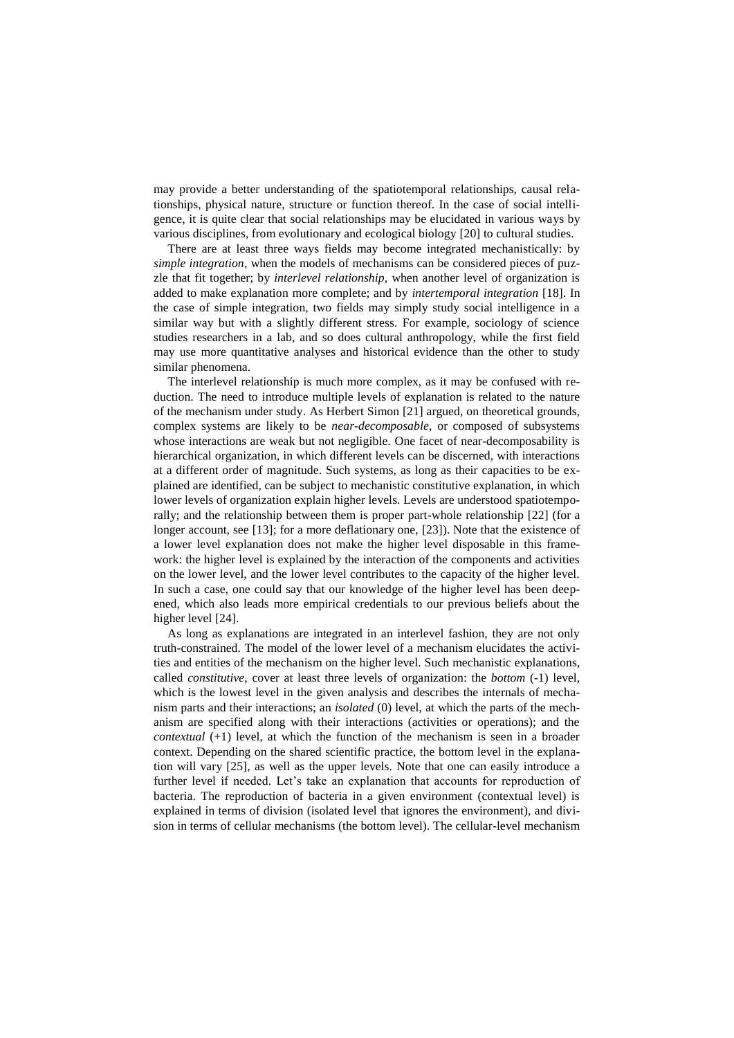may provide a better understanding of the spatiotemporal relationships, causal relationships, physical nature, structure or function thereof. In the case of social intelligence, it is quite clear that social relationships may be elucidated in various ways by various disciplines, from evolutionary and ecological biology [20] to cultural studies.

There are at least three ways fields may become integrated mechanistically: by *simple integration*, when the models of mechanisms can be considered pieces of puzzle that fit together; by *interlevel relationship*, when another level of organization is added to make explanation more complete; and by *intertemporal integration* [18]. In the case of simple integration, two fields may simply study social intelligence in a similar way but with a slightly different stress. For example, sociology of science studies researchers in a lab, and so does cultural anthropology, while the first field may use more quantitative analyses and historical evidence than the other to study similar phenomena.

The interlevel relationship is much more complex, as it may be confused with reduction. The need to introduce multiple levels of explanation is related to the nature of the mechanism under study. As Herbert Simon [21] argued, on theoretical grounds, complex systems are likely to be *near-decomposable*, or composed of subsystems whose interactions are weak but not negligible. One facet of near-decomposability is hierarchical organization, in which different levels can be discerned, with interactions at a different order of magnitude. Such systems, as long as their capacities to be explained are identified, can be subject to mechanistic constitutive explanation, in which lower levels of organization explain higher levels. Levels are understood spatiotemporally; and the relationship between them is proper part-whole relationship [22] (for a longer account, see [13]; for a more deflationary one, [23]). Note that the existence of a lower level explanation does not make the higher level disposable in this framework: the higher level is explained by the interaction of the components and activities on the lower level, and the lower level contributes to the capacity of the higher level. In such a case, one could say that our knowledge of the higher level has been deepened, which also leads more empirical credentials to our previous beliefs about the higher level [24].

As long as explanations are integrated in an interlevel fashion, they are not only truth-constrained. The model of the lower level of a mechanism elucidates the activities and entities of the mechanism on the higher level. Such mechanistic explanations, called *constitutive*, cover at least three levels of organization: the *bottom* (-1) level, which is the lowest level in the given analysis and describes the internals of mechanism parts and their interactions; an *isolated* (0) level, at which the parts of the mechanism are specified along with their interactions (activities or operations); and the *contextual* (+1) level, at which the function of the mechanism is seen in a broader context. Depending on the shared scientific practice, the bottom level in the explanation will vary [25], as well as the upper levels. Note that one can easily introduce a further level if needed. Let's take an explanation that accounts for reproduction of bacteria. The reproduction of bacteria in a given environment (contextual level) is explained in terms of division (isolated level that ignores the environment), and division in terms of cellular mechanisms (the bottom level). The cellular-level mechanism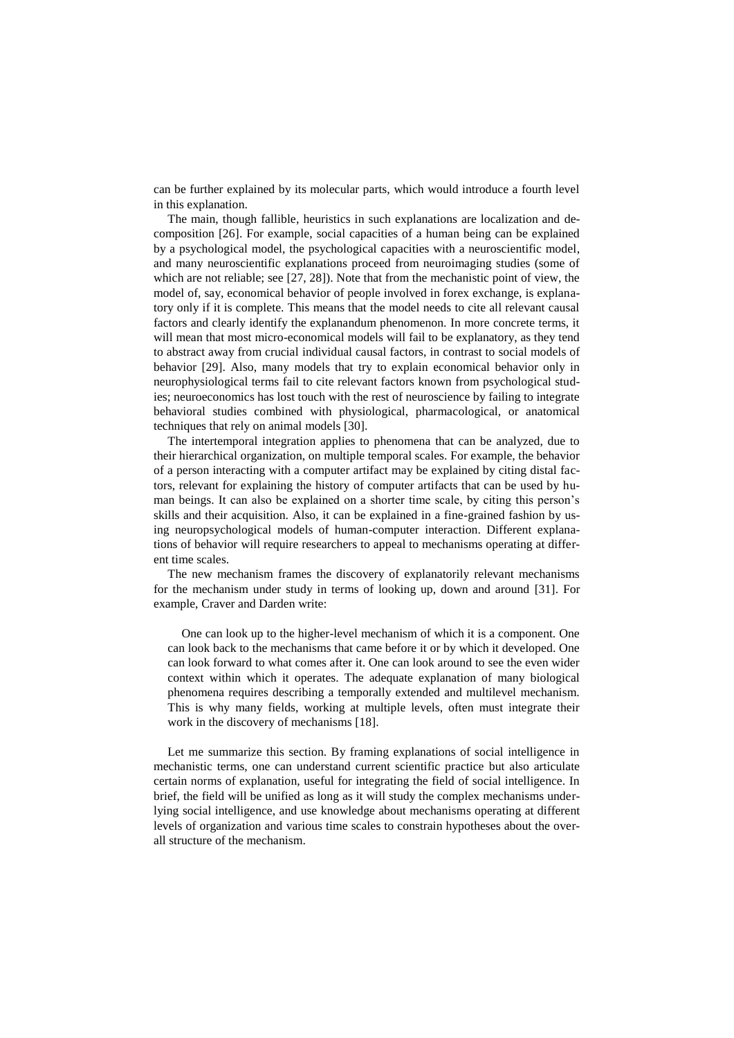can be further explained by its molecular parts, which would introduce a fourth level in this explanation.

The main, though fallible, heuristics in such explanations are localization and decomposition [26]. For example, social capacities of a human being can be explained by a psychological model, the psychological capacities with a neuroscientific model, and many neuroscientific explanations proceed from neuroimaging studies (some of which are not reliable; see [27, 28]). Note that from the mechanistic point of view, the model of, say, economical behavior of people involved in forex exchange, is explanatory only if it is complete. This means that the model needs to cite all relevant causal factors and clearly identify the explanandum phenomenon. In more concrete terms, it will mean that most micro-economical models will fail to be explanatory, as they tend to abstract away from crucial individual causal factors, in contrast to social models of behavior [29]. Also, many models that try to explain economical behavior only in neurophysiological terms fail to cite relevant factors known from psychological studies; neuroeconomics has lost touch with the rest of neuroscience by failing to integrate behavioral studies combined with physiological, pharmacological, or anatomical techniques that rely on animal models [30].

The intertemporal integration applies to phenomena that can be analyzed, due to their hierarchical organization, on multiple temporal scales. For example, the behavior of a person interacting with a computer artifact may be explained by citing distal factors, relevant for explaining the history of computer artifacts that can be used by human beings. It can also be explained on a shorter time scale, by citing this person's skills and their acquisition. Also, it can be explained in a fine-grained fashion by using neuropsychological models of human-computer interaction. Different explanations of behavior will require researchers to appeal to mechanisms operating at different time scales.

The new mechanism frames the discovery of explanatorily relevant mechanisms for the mechanism under study in terms of looking up, down and around [31]. For example, Craver and Darden write:

One can look up to the higher-level mechanism of which it is a component. One can look back to the mechanisms that came before it or by which it developed. One can look forward to what comes after it. One can look around to see the even wider context within which it operates. The adequate explanation of many biological phenomena requires describing a temporally extended and multilevel mechanism. This is why many fields, working at multiple levels, often must integrate their work in the discovery of mechanisms [18].

Let me summarize this section. By framing explanations of social intelligence in mechanistic terms, one can understand current scientific practice but also articulate certain norms of explanation, useful for integrating the field of social intelligence. In brief, the field will be unified as long as it will study the complex mechanisms underlying social intelligence, and use knowledge about mechanisms operating at different levels of organization and various time scales to constrain hypotheses about the overall structure of the mechanism.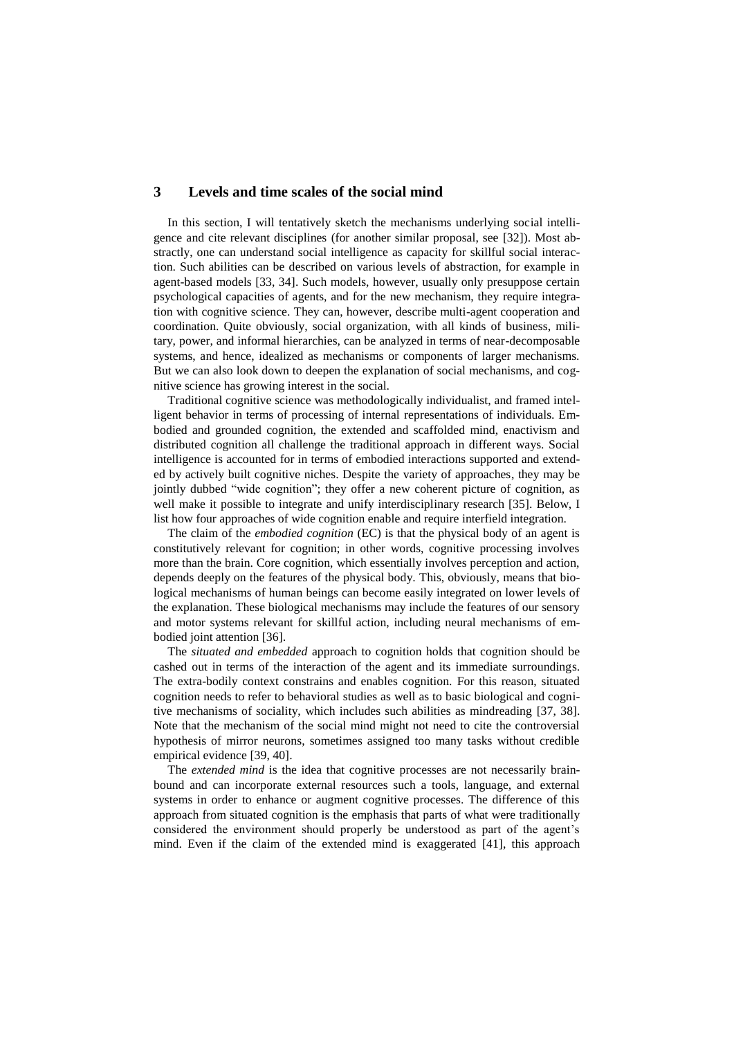### **3 Levels and time scales of the social mind**

In this section, I will tentatively sketch the mechanisms underlying social intelligence and cite relevant disciplines (for another similar proposal, see [32]). Most abstractly, one can understand social intelligence as capacity for skillful social interaction. Such abilities can be described on various levels of abstraction, for example in agent-based models [33, 34]. Such models, however, usually only presuppose certain psychological capacities of agents, and for the new mechanism, they require integration with cognitive science. They can, however, describe multi-agent cooperation and coordination. Quite obviously, social organization, with all kinds of business, military, power, and informal hierarchies, can be analyzed in terms of near-decomposable systems, and hence, idealized as mechanisms or components of larger mechanisms. But we can also look down to deepen the explanation of social mechanisms, and cognitive science has growing interest in the social.

Traditional cognitive science was methodologically individualist, and framed intelligent behavior in terms of processing of internal representations of individuals. Embodied and grounded cognition, the extended and scaffolded mind, enactivism and distributed cognition all challenge the traditional approach in different ways. Social intelligence is accounted for in terms of embodied interactions supported and extended by actively built cognitive niches. Despite the variety of approaches, they may be jointly dubbed "wide cognition"; they offer a new coherent picture of cognition, as well make it possible to integrate and unify interdisciplinary research [35]. Below, I list how four approaches of wide cognition enable and require interfield integration.

The claim of the *embodied cognition* (EC) is that the physical body of an agent is constitutively relevant for cognition; in other words, cognitive processing involves more than the brain. Core cognition, which essentially involves perception and action, depends deeply on the features of the physical body. This, obviously, means that biological mechanisms of human beings can become easily integrated on lower levels of the explanation. These biological mechanisms may include the features of our sensory and motor systems relevant for skillful action, including neural mechanisms of embodied joint attention [36].

The *situated and embedded* approach to cognition holds that cognition should be cashed out in terms of the interaction of the agent and its immediate surroundings. The extra-bodily context constrains and enables cognition. For this reason, situated cognition needs to refer to behavioral studies as well as to basic biological and cognitive mechanisms of sociality, which includes such abilities as mindreading [37, 38]. Note that the mechanism of the social mind might not need to cite the controversial hypothesis of mirror neurons, sometimes assigned too many tasks without credible empirical evidence [39, 40].

The *extended mind* is the idea that cognitive processes are not necessarily brainbound and can incorporate external resources such a tools, language, and external systems in order to enhance or augment cognitive processes. The difference of this approach from situated cognition is the emphasis that parts of what were traditionally considered the environment should properly be understood as part of the agent's mind. Even if the claim of the extended mind is exaggerated [41], this approach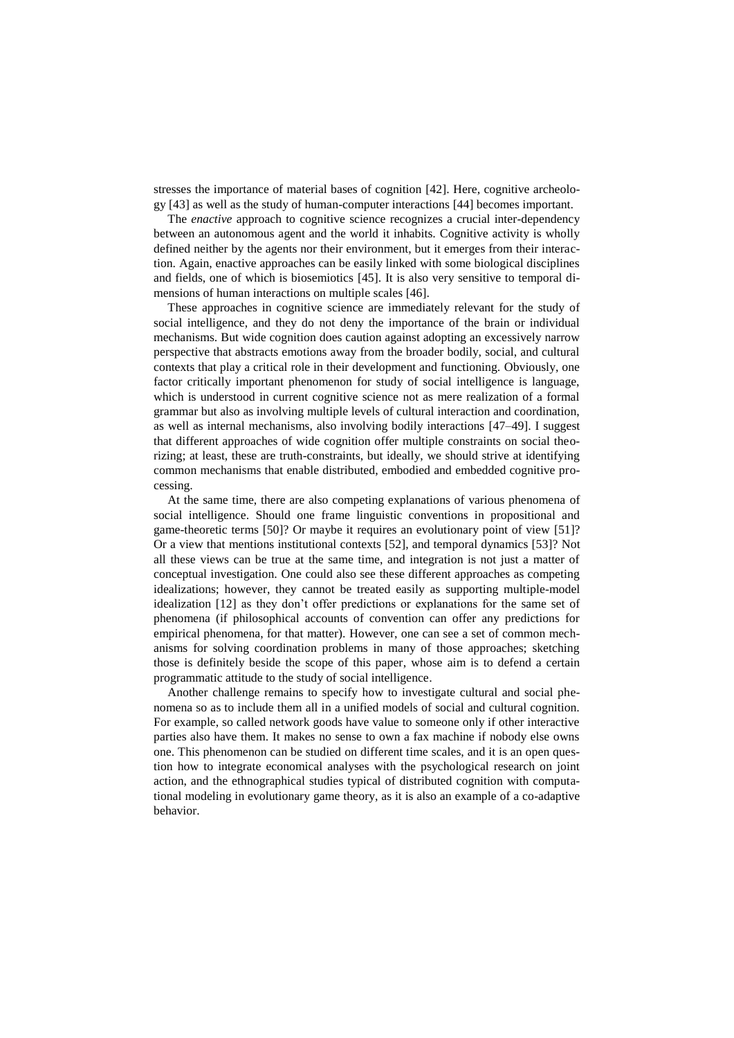stresses the importance of material bases of cognition [42]. Here, cognitive archeology [43] as well as the study of human-computer interactions [44] becomes important.

The *enactive* approach to cognitive science recognizes a crucial inter-dependency between an autonomous agent and the world it inhabits. Cognitive activity is wholly defined neither by the agents nor their environment, but it emerges from their interaction. Again, enactive approaches can be easily linked with some biological disciplines and fields, one of which is biosemiotics [45]. It is also very sensitive to temporal dimensions of human interactions on multiple scales [46].

These approaches in cognitive science are immediately relevant for the study of social intelligence, and they do not deny the importance of the brain or individual mechanisms. But wide cognition does caution against adopting an excessively narrow perspective that abstracts emotions away from the broader bodily, social, and cultural contexts that play a critical role in their development and functioning. Obviously, one factor critically important phenomenon for study of social intelligence is language, which is understood in current cognitive science not as mere realization of a formal grammar but also as involving multiple levels of cultural interaction and coordination, as well as internal mechanisms, also involving bodily interactions [47–49]. I suggest that different approaches of wide cognition offer multiple constraints on social theorizing; at least, these are truth-constraints, but ideally, we should strive at identifying common mechanisms that enable distributed, embodied and embedded cognitive processing.

At the same time, there are also competing explanations of various phenomena of social intelligence. Should one frame linguistic conventions in propositional and game-theoretic terms [50]? Or maybe it requires an evolutionary point of view [51]? Or a view that mentions institutional contexts [52], and temporal dynamics [53]? Not all these views can be true at the same time, and integration is not just a matter of conceptual investigation. One could also see these different approaches as competing idealizations; however, they cannot be treated easily as supporting multiple-model idealization [12] as they don't offer predictions or explanations for the same set of phenomena (if philosophical accounts of convention can offer any predictions for empirical phenomena, for that matter). However, one can see a set of common mechanisms for solving coordination problems in many of those approaches; sketching those is definitely beside the scope of this paper, whose aim is to defend a certain programmatic attitude to the study of social intelligence.

Another challenge remains to specify how to investigate cultural and social phenomena so as to include them all in a unified models of social and cultural cognition. For example, so called network goods have value to someone only if other interactive parties also have them. It makes no sense to own a fax machine if nobody else owns one. This phenomenon can be studied on different time scales, and it is an open question how to integrate economical analyses with the psychological research on joint action, and the ethnographical studies typical of distributed cognition with computational modeling in evolutionary game theory, as it is also an example of a co-adaptive behavior.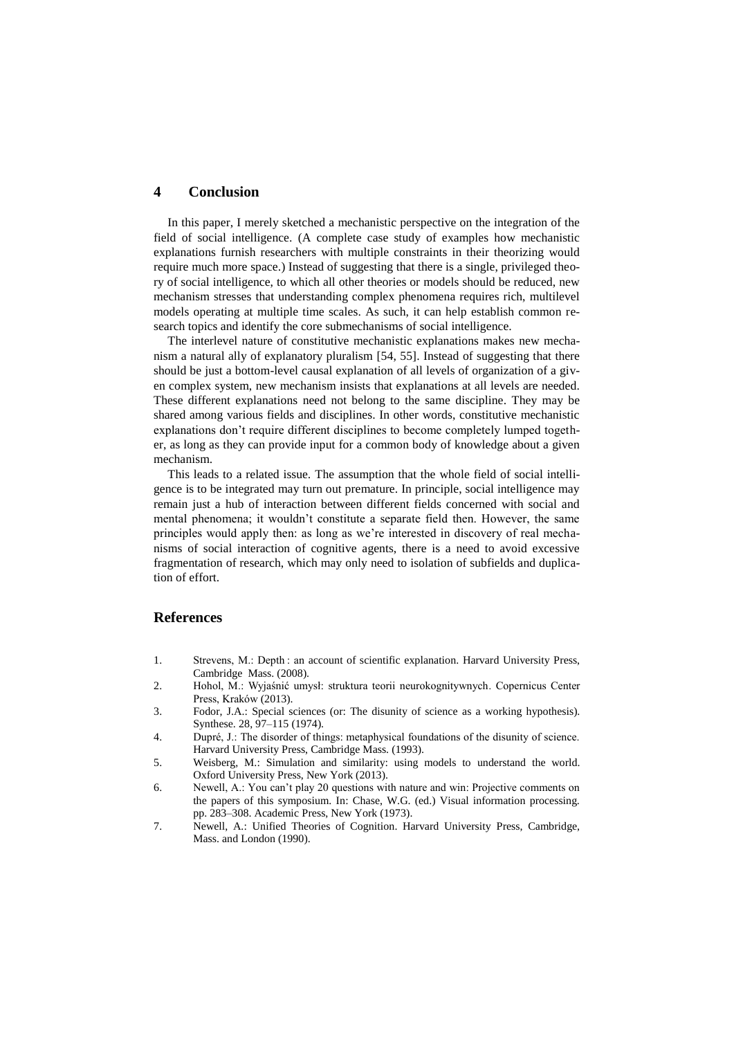## **4 Conclusion**

In this paper, I merely sketched a mechanistic perspective on the integration of the field of social intelligence. (A complete case study of examples how mechanistic explanations furnish researchers with multiple constraints in their theorizing would require much more space.) Instead of suggesting that there is a single, privileged theory of social intelligence, to which all other theories or models should be reduced, new mechanism stresses that understanding complex phenomena requires rich, multilevel models operating at multiple time scales. As such, it can help establish common research topics and identify the core submechanisms of social intelligence.

The interlevel nature of constitutive mechanistic explanations makes new mechanism a natural ally of explanatory pluralism [54, 55]. Instead of suggesting that there should be just a bottom-level causal explanation of all levels of organization of a given complex system, new mechanism insists that explanations at all levels are needed. These different explanations need not belong to the same discipline. They may be shared among various fields and disciplines. In other words, constitutive mechanistic explanations don't require different disciplines to become completely lumped together, as long as they can provide input for a common body of knowledge about a given mechanism.

This leads to a related issue. The assumption that the whole field of social intelligence is to be integrated may turn out premature. In principle, social intelligence may remain just a hub of interaction between different fields concerned with social and mental phenomena; it wouldn't constitute a separate field then. However, the same principles would apply then: as long as we're interested in discovery of real mechanisms of social interaction of cognitive agents, there is a need to avoid excessive fragmentation of research, which may only need to isolation of subfields and duplication of effort.

#### **References**

- 1. Strevens, M.: Depth : an account of scientific explanation. Harvard University Press, Cambridge Mass. (2008).
- 2. Hohol, M.: Wyjaśnić umysł: struktura teorii neurokognitywnych. Copernicus Center Press, Kraków (2013).
- 3. Fodor, J.A.: Special sciences (or: The disunity of science as a working hypothesis). Synthese. 28, 97–115 (1974).
- 4. Dupré, J.: The disorder of things: metaphysical foundations of the disunity of science. Harvard University Press, Cambridge Mass. (1993).
- 5. Weisberg, M.: Simulation and similarity: using models to understand the world. Oxford University Press, New York (2013).
- 6. Newell, A.: You can't play 20 questions with nature and win: Projective comments on the papers of this symposium. In: Chase, W.G. (ed.) Visual information processing. pp. 283–308. Academic Press, New York (1973).
- 7. Newell, A.: Unified Theories of Cognition. Harvard University Press, Cambridge, Mass. and London (1990).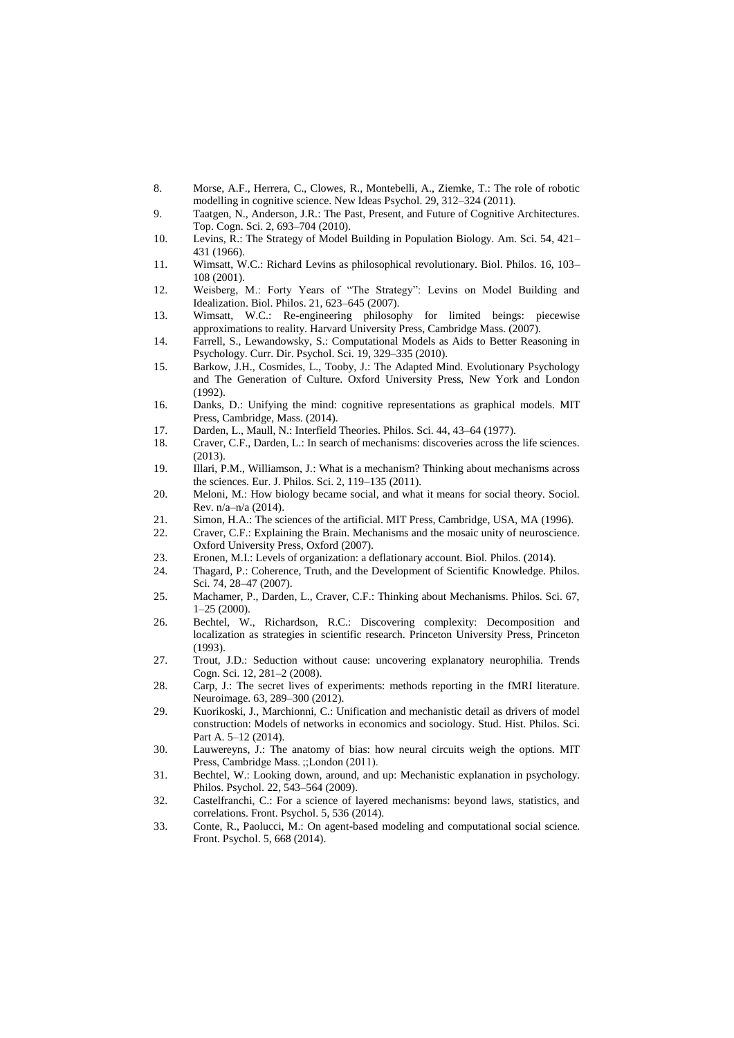- 8. Morse, A.F., Herrera, C., Clowes, R., Montebelli, A., Ziemke, T.: The role of robotic modelling in cognitive science. New Ideas Psychol. 29, 312–324 (2011).
- 9. Taatgen, N., Anderson, J.R.: The Past, Present, and Future of Cognitive Architectures. Top. Cogn. Sci. 2, 693–704 (2010).
- 10. Levins, R.: The Strategy of Model Building in Population Biology. Am. Sci. 54, 421– 431 (1966).
- 11. Wimsatt, W.C.: Richard Levins as philosophical revolutionary. Biol. Philos. 16, 103– 108 (2001).
- 12. Weisberg, M.: Forty Years of "The Strategy": Levins on Model Building and Idealization. Biol. Philos. 21, 623–645 (2007).
- 13. Wimsatt, W.C.: Re-engineering philosophy for limited beings: piecewise approximations to reality. Harvard University Press, Cambridge Mass. (2007).
- 14. Farrell, S., Lewandowsky, S.: Computational Models as Aids to Better Reasoning in Psychology. Curr. Dir. Psychol. Sci. 19, 329–335 (2010).
- 15. Barkow, J.H., Cosmides, L., Tooby, J.: The Adapted Mind. Evolutionary Psychology and The Generation of Culture. Oxford University Press, New York and London  $(1992)$
- 16. Danks, D.: Unifying the mind: cognitive representations as graphical models. MIT Press, Cambridge, Mass. (2014).
- 17. Darden, L., Maull, N.: Interfield Theories. Philos. Sci. 44, 43–64 (1977).
- 18. Craver, C.F., Darden, L.: In search of mechanisms: discoveries across the life sciences. (2013).
- 19. Illari, P.M., Williamson, J.: What is a mechanism? Thinking about mechanisms across the sciences. Eur. J. Philos. Sci. 2, 119–135 (2011).
- 20. Meloni, M.: How biology became social, and what it means for social theory. Sociol. Rev. n/a–n/a (2014).
- 21. Simon, H.A.: The sciences of the artificial. MIT Press, Cambridge, USA, MA (1996).
- 22. Craver, C.F.: Explaining the Brain. Mechanisms and the mosaic unity of neuroscience. Oxford University Press, Oxford (2007).
- 23. Eronen, M.I.: Levels of organization: a deflationary account. Biol. Philos. (2014).
- 24. Thagard, P.: Coherence, Truth, and the Development of Scientific Knowledge. Philos. Sci. 74, 28–47 (2007).
- 25. Machamer, P., Darden, L., Craver, C.F.: Thinking about Mechanisms. Philos. Sci. 67, 1–25 (2000).
- 26. Bechtel, W., Richardson, R.C.: Discovering complexity: Decomposition and localization as strategies in scientific research. Princeton University Press, Princeton (1993).
- 27. Trout, J.D.: Seduction without cause: uncovering explanatory neurophilia. Trends Cogn. Sci. 12, 281–2 (2008).
- 28. Carp, J.: The secret lives of experiments: methods reporting in the fMRI literature. Neuroimage. 63, 289–300 (2012).
- 29. Kuorikoski, J., Marchionni, C.: Unification and mechanistic detail as drivers of model construction: Models of networks in economics and sociology. Stud. Hist. Philos. Sci. Part A. 5–12 (2014).
- 30. Lauwereyns, J.: The anatomy of bias: how neural circuits weigh the options. MIT Press, Cambridge Mass. ;;London (2011).
- 31. Bechtel, W.: Looking down, around, and up: Mechanistic explanation in psychology. Philos. Psychol. 22, 543–564 (2009).
- 32. Castelfranchi, C.: For a science of layered mechanisms: beyond laws, statistics, and correlations. Front. Psychol. 5, 536 (2014).
- 33. Conte, R., Paolucci, M.: On agent-based modeling and computational social science. Front. Psychol. 5, 668 (2014).